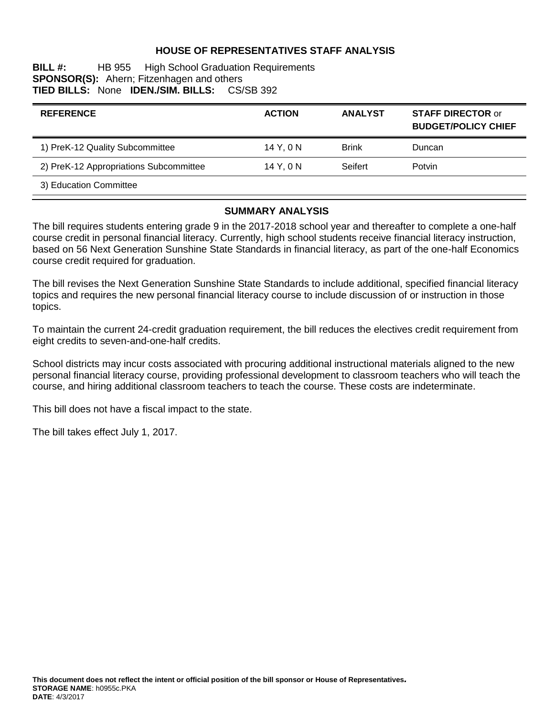### **HOUSE OF REPRESENTATIVES STAFF ANALYSIS**

**BILL #:** HB 955 High School Graduation Requirements **SPONSOR(S):** Ahern; Fitzenhagen and others **TIED BILLS:** None **IDEN./SIM. BILLS:** CS/SB 392

| <b>REFERENCE</b>                       | <b>ACTION</b> | <b>ANALYST</b> | <b>STAFF DIRECTOR or</b><br><b>BUDGET/POLICY CHIEF</b> |
|----------------------------------------|---------------|----------------|--------------------------------------------------------|
| 1) PreK-12 Quality Subcommittee        | 14 Y.ON       | <b>Brink</b>   | Duncan                                                 |
| 2) PreK-12 Appropriations Subcommittee | 14 Y. 0 N     | Seifert        | Potvin                                                 |
| 3) Education Committee                 |               |                |                                                        |

#### **SUMMARY ANALYSIS**

The bill requires students entering grade 9 in the 2017-2018 school year and thereafter to complete a one-half course credit in personal financial literacy. Currently, high school students receive financial literacy instruction, based on 56 Next Generation Sunshine State Standards in financial literacy, as part of the one-half Economics course credit required for graduation.

The bill revises the Next Generation Sunshine State Standards to include additional, specified financial literacy topics and requires the new personal financial literacy course to include discussion of or instruction in those topics.

To maintain the current 24-credit graduation requirement, the bill reduces the electives credit requirement from eight credits to seven-and-one-half credits.

School districts may incur costs associated with procuring additional instructional materials aligned to the new personal financial literacy course, providing professional development to classroom teachers who will teach the course, and hiring additional classroom teachers to teach the course. These costs are indeterminate.

This bill does not have a fiscal impact to the state.

The bill takes effect July 1, 2017.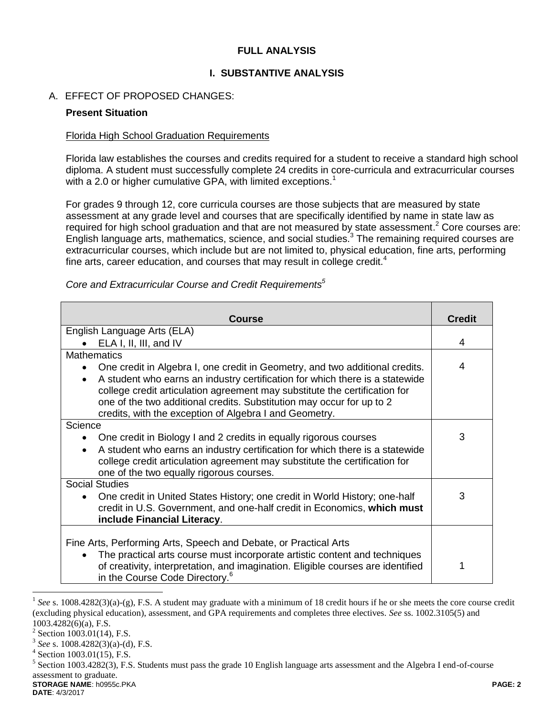### **FULL ANALYSIS**

### **I. SUBSTANTIVE ANALYSIS**

### A. EFFECT OF PROPOSED CHANGES:

### **Present Situation**

### Florida High School Graduation Requirements

Florida law establishes the courses and credits required for a student to receive a standard high school diploma. A student must successfully complete 24 credits in core-curricula and extracurricular courses with a 2.0 or higher cumulative GPA, with limited exceptions.<sup>1</sup>

For grades 9 through 12, core curricula courses are those subjects that are measured by state assessment at any grade level and courses that are specifically identified by name in state law as required for high school graduation and that are not measured by state assessment.<sup>2</sup> Core courses are: English language arts, mathematics, science, and social studies.<sup>3</sup> The remaining required courses are extracurricular courses, which include but are not limited to, physical education, fine arts, performing fine arts, career education, and courses that may result in college credit.<sup>4</sup>

| <b>Course</b>                                                                                                                                                                                                                                                                                              | <b>Credit</b> |  |  |
|------------------------------------------------------------------------------------------------------------------------------------------------------------------------------------------------------------------------------------------------------------------------------------------------------------|---------------|--|--|
| English Language Arts (ELA)                                                                                                                                                                                                                                                                                |               |  |  |
| ELA I, II, III, and IV                                                                                                                                                                                                                                                                                     |               |  |  |
| <b>Mathematics</b>                                                                                                                                                                                                                                                                                         |               |  |  |
| One credit in Algebra I, one credit in Geometry, and two additional credits.<br>$\bullet$                                                                                                                                                                                                                  | 4             |  |  |
| A student who earns an industry certification for which there is a statewide<br>$\bullet$<br>college credit articulation agreement may substitute the certification for<br>one of the two additional credits. Substitution may occur for up to 2<br>credits, with the exception of Algebra I and Geometry. |               |  |  |
| Science                                                                                                                                                                                                                                                                                                    |               |  |  |
| One credit in Biology I and 2 credits in equally rigorous courses                                                                                                                                                                                                                                          | 3             |  |  |
| A student who earns an industry certification for which there is a statewide<br>$\bullet$<br>college credit articulation agreement may substitute the certification for<br>one of the two equally rigorous courses.                                                                                        |               |  |  |
| <b>Social Studies</b>                                                                                                                                                                                                                                                                                      |               |  |  |
| One credit in United States History; one credit in World History; one-half<br>$\bullet$<br>credit in U.S. Government, and one-half credit in Economics, which must<br>include Financial Literacy.                                                                                                          | 3             |  |  |
|                                                                                                                                                                                                                                                                                                            |               |  |  |
| Fine Arts, Performing Arts, Speech and Debate, or Practical Arts                                                                                                                                                                                                                                           |               |  |  |
| The practical arts course must incorporate artistic content and techniques<br>$\bullet$                                                                                                                                                                                                                    |               |  |  |
| of creativity, interpretation, and imagination. Eligible courses are identified<br>in the Course Code Directory. <sup>6</sup>                                                                                                                                                                              |               |  |  |

*Core and Extracurricular Course and Credit Requirements<sup>5</sup>*

 $\overline{a}$ 

<sup>&</sup>lt;sup>1</sup> See s. 1008.4282(3)(a)-(g), F.S. A student may graduate with a minimum of 18 credit hours if he or she meets the core course credit (excluding physical education), assessment, and GPA requirements and completes three electives. *See* ss. 1002.3105(5) and 1003.4282(6)(a), F.S.

 $2$  Section 1003.01(14), F.S.

<sup>3</sup> *See* s. 1008.4282(3)(a)-(d), F.S.

<sup>4</sup> Section 1003.01(15), F.S.

**STORAGE NAME**: h0955c.PKA **PAGE: 2**  $<sup>5</sup>$  Section 1003.4282(3), F.S. Students must pass the grade 10 English language arts assessment and the Algebra I end-of-course</sup> assessment to graduate.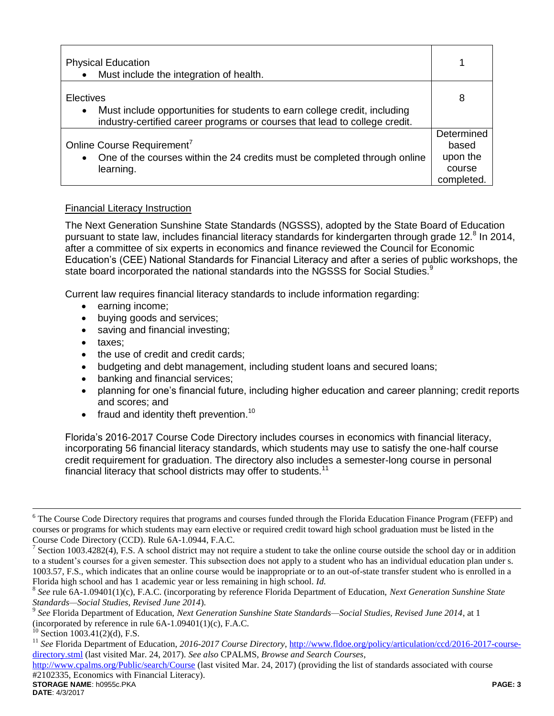| <b>Physical Education</b><br>Must include the integration of health.                                                                                                              |                                                         |
|-----------------------------------------------------------------------------------------------------------------------------------------------------------------------------------|---------------------------------------------------------|
| Electives<br>Must include opportunities for students to earn college credit, including<br>$\bullet$<br>industry-certified career programs or courses that lead to college credit. | 8                                                       |
| Online Course Requirement <sup>7</sup><br>One of the courses within the 24 credits must be completed through online<br>$\bullet$<br>learning.                                     | Determined<br>based<br>upon the<br>course<br>completed. |

## Financial Literacy Instruction

The Next Generation Sunshine State Standards (NGSSS), adopted by the State Board of Education pursuant to state law, includes financial literacy standards for kindergarten through grade 12.<sup>8</sup> In 2014, after a committee of six experts in economics and finance reviewed the Council for Economic Education's (CEE) National Standards for Financial Literacy and after a series of public workshops, the state board incorporated the national standards into the NGSSS for Social Studies.<sup>9</sup>

Current law requires financial literacy standards to include information regarding:

- earning income;
- buying goods and services;
- saving and financial investing;
- taxes:
- the use of credit and credit cards;
- budgeting and debt management, including student loans and secured loans;
- banking and financial services;
- planning for one's financial future, including higher education and career planning; credit reports and scores; and
- $\bullet$  fraud and identity theft prevention.<sup>10</sup>

Florida's 2016-2017 Course Code Directory includes courses in economics with financial literacy, incorporating 56 financial literacy standards, which students may use to satisfy the one-half course credit requirement for graduation. The directory also includes a semester-long course in personal financial literacy that school districts may offer to students.<sup>11</sup>

**STORAGE NAME**: h0955c.PKA **PAGE: 3** <http://www.cpalms.org/Public/search/Course> (last visited Mar. 24, 2017) (providing the list of standards associated with course #2102335, Economics with Financial Literacy).

 $\overline{a}$ 

<sup>&</sup>lt;sup>6</sup> The Course Code Directory requires that programs and courses funded through the Florida Education Finance Program (FEFP) and courses or programs for which students may earn elective or required credit toward high school graduation must be listed in the Course Code Directory (CCD). Rule 6A-1.0944, F.A.C.

<sup>7</sup> Section 1003.4282(4), F.S. A school district may not require a student to take the online course outside the school day or in addition to a student's courses for a given semester. This subsection does not apply to a student who has an individual education plan under s. 1003.57, F.S., which indicates that an online course would be inappropriate or to an out-of-state transfer student who is enrolled in a Florida high school and has 1 academic year or less remaining in high school. *Id.*

<sup>8</sup> *See* rule 6A-1.09401(1)(c), F.A.C. (incorporating by reference Florida Department of Education, *Next Generation Sunshine State Standards—Social Studies, Revised June 2014*).

<sup>9</sup> *See* Florida Department of Education, *Next Generation Sunshine State Standards—Social Studies, Revised June 2014*, at 1 (incorporated by reference in rule  $6A-1.09401(1)(c)$ , F.A.C.

 $^{10}$  Section 1003.41(2)(d), F.S.

<sup>&</sup>lt;sup>11</sup> See Florida Department of Education, 2016-2017 Course Directory, [http://www.fldoe.org/policy/articulation/ccd/2016-2017-course](http://www.fldoe.org/policy/articulation/ccd/2016-2017-course-directory.stml)[directory.stml](http://www.fldoe.org/policy/articulation/ccd/2016-2017-course-directory.stml) (last visited Mar. 24, 2017). *See also* CPALMS, *Browse and Search Courses*,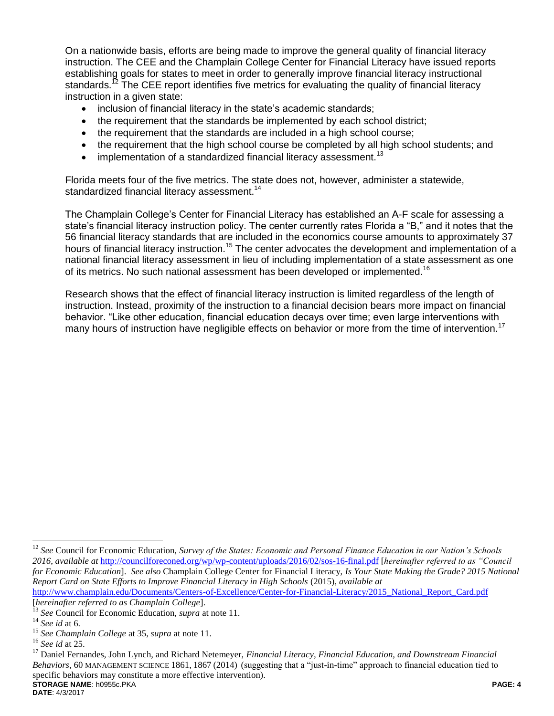On a nationwide basis, efforts are being made to improve the general quality of financial literacy instruction. The CEE and the Champlain College Center for Financial Literacy have issued reports establishing goals for states to meet in order to generally improve financial literacy instructional standards.<sup>12</sup> The CEE report identifies five metrics for evaluating the quality of financial literacy instruction in a given state:

- inclusion of financial literacy in the state's academic standards;
- the requirement that the standards be implemented by each school district;
- the requirement that the standards are included in a high school course;
- the requirement that the high school course be completed by all high school students; and
- $\bullet$  implementation of a standardized financial literacy assessment.<sup>13</sup>

Florida meets four of the five metrics. The state does not, however, administer a statewide, standardized financial literacy assessment.<sup>14</sup>

The Champlain College's Center for Financial Literacy has established an A-F scale for assessing a state's financial literacy instruction policy. The center currently rates Florida a "B," and it notes that the 56 financial literacy standards that are included in the economics course amounts to approximately 37 hours of financial literacy instruction.<sup>15</sup> The center advocates the development and implementation of a national financial literacy assessment in lieu of including implementation of a state assessment as one of its metrics. No such national assessment has been developed or implemented.<sup>16</sup>

Research shows that the effect of financial literacy instruction is limited regardless of the length of instruction. Instead, proximity of the instruction to a financial decision bears more impact on financial behavior. "Like other education, financial education decays over time; even large interventions with many hours of instruction have negligible effects on behavior or more from the time of intervention.<sup>17</sup>

 $\overline{a}$ 

<sup>&</sup>lt;sup>12</sup> See Council for Economic Education, *Survey of the States: Economic and Personal Finance Education in our Nation's Schools 2016*, *available at* <http://councilforeconed.org/wp/wp-content/uploads/2016/02/sos-16-final.pdf> [*hereinafter referred to as "Council for Economic Education*]. *See also* Champlain College Center for Financial Literacy, *Is Your State Making the Grade? 2015 National Report Card on State Efforts to Improve Financial Literacy in High Schools* (2015), *available at*  [http://www.champlain.edu/Documents/Centers-of-Excellence/Center-for-Financial-Literacy/2015\\_National\\_Report\\_Card.pdf](http://www.champlain.edu/Documents/Centers-of-Excellence/Center-for-Financial-Literacy/2015_National_Report_Card.pdf)

<sup>[</sup>*hereinafter referred to as Champlain College*].

<sup>13</sup> *See* Council for Economic Education, *supra* at note 11.

<sup>14</sup> *See id* at 6.

<sup>15</sup> *See Champlain College* at 35, *supra* at note 11.

<sup>16</sup> *See id* at 25.

**STORAGE NAME**: h0955c.PKA **PAGE: 4** <sup>17</sup> Daniel Fernandes, John Lynch, and Richard Netemeyer, *Financial Literacy, Financial Education, and Downstream Financial Behaviors*, 60 MANAGEMENT SCIENCE 1861, 1867 (2014) (suggesting that a "just-in-time" approach to financial education tied to specific behaviors may constitute a more effective intervention).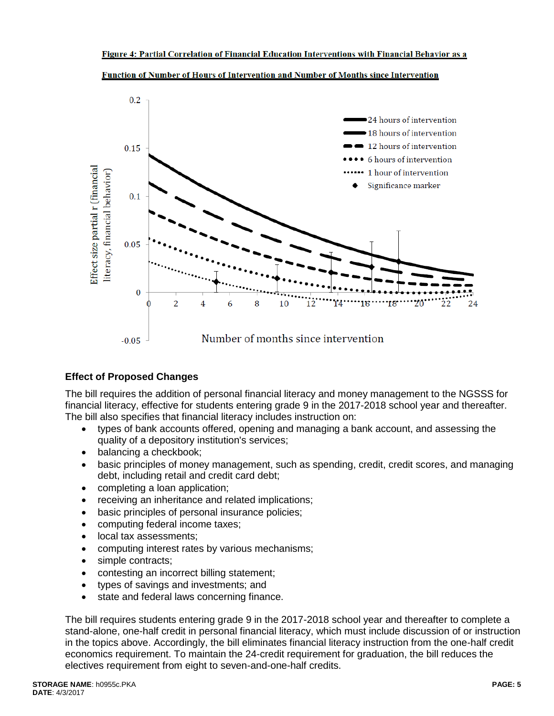

Function of Number of Hours of Intervention and Number of Months since Intervention

# **Effect of Proposed Changes**

The bill requires the addition of personal financial literacy and money management to the NGSSS for financial literacy, effective for students entering grade 9 in the 2017-2018 school year and thereafter. The bill also specifies that financial literacy includes instruction on:

- types of bank accounts offered, opening and managing a bank account, and assessing the quality of a depository institution's services;
- balancing a checkbook;
- basic principles of money management, such as spending, credit, credit scores, and managing debt, including retail and credit card debt;
- completing a loan application;
- receiving an inheritance and related implications;
- basic principles of personal insurance policies;
- computing federal income taxes;
- local tax assessments:
- computing interest rates by various mechanisms;
- simple contracts;
- contesting an incorrect billing statement;
- types of savings and investments; and
- state and federal laws concerning finance.

The bill requires students entering grade 9 in the 2017-2018 school year and thereafter to complete a stand-alone, one-half credit in personal financial literacy, which must include discussion of or instruction in the topics above. Accordingly, the bill eliminates financial literacy instruction from the one-half credit economics requirement. To maintain the 24-credit requirement for graduation, the bill reduces the electives requirement from eight to seven-and-one-half credits.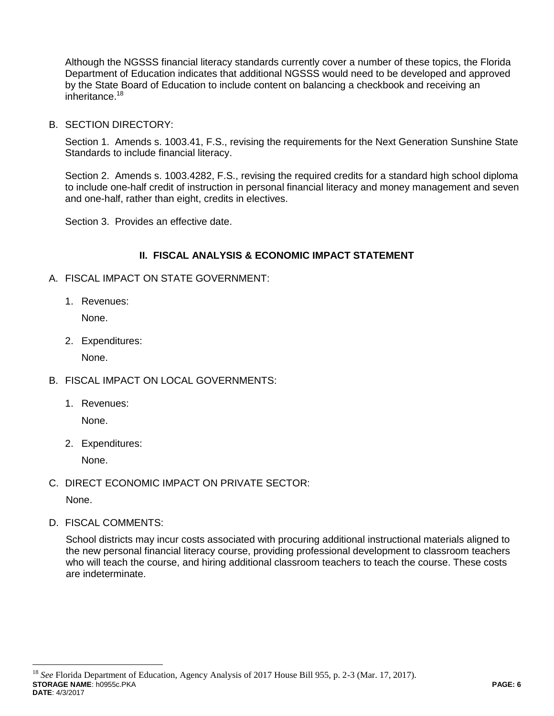Although the NGSSS financial literacy standards currently cover a number of these topics, the Florida Department of Education indicates that additional NGSSS would need to be developed and approved by the State Board of Education to include content on balancing a checkbook and receiving an inheritance.<sup>18</sup>

B. SECTION DIRECTORY:

Section 1. Amends s. 1003.41, F.S., revising the requirements for the Next Generation Sunshine State Standards to include financial literacy.

Section 2. Amends s. 1003.4282, F.S., revising the required credits for a standard high school diploma to include one-half credit of instruction in personal financial literacy and money management and seven and one-half, rather than eight, credits in electives.

Section 3. Provides an effective date.

## **II. FISCAL ANALYSIS & ECONOMIC IMPACT STATEMENT**

- A. FISCAL IMPACT ON STATE GOVERNMENT:
	- 1. Revenues:

None.

2. Expenditures:

None.

- B. FISCAL IMPACT ON LOCAL GOVERNMENTS:
	- 1. Revenues:

None.

2. Expenditures:

None.

C. DIRECT ECONOMIC IMPACT ON PRIVATE SECTOR:

None.

 $\overline{a}$ 

D. FISCAL COMMENTS:

School districts may incur costs associated with procuring additional instructional materials aligned to the new personal financial literacy course, providing professional development to classroom teachers who will teach the course, and hiring additional classroom teachers to teach the course. These costs are indeterminate.

**STORAGE NAME**: h0955c.PKA **PAGE: 6 DATE**: 4/3/2017 <sup>18</sup> *See* Florida Department of Education, Agency Analysis of 2017 House Bill 955, p. 2-3 (Mar. 17, 2017).